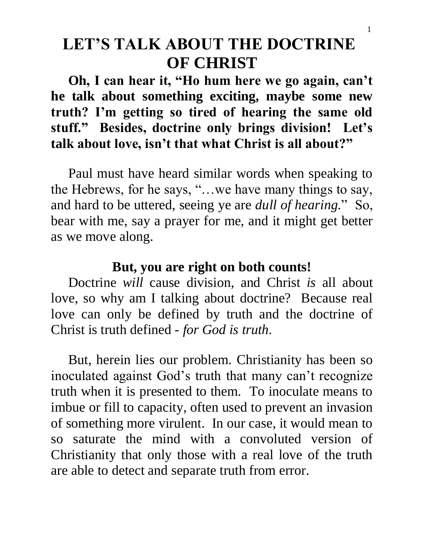# **LET'S TALK ABOUT THE DOCTRINE OF CHRIST**

 **Oh, I can hear it, "Ho hum here we go again, can't he talk about something exciting, maybe some new truth? I'm getting so tired of hearing the same old stuff." Besides, doctrine only brings division! Let's talk about love, isn't that what Christ is all about?"**

 Paul must have heard similar words when speaking to the Hebrews, for he says, "…we have many things to say, and hard to be uttered, seeing ye are *dull of hearing.*" So, bear with me, say a prayer for me, and it might get better as we move along.

### **But, you are right on both counts!**

 Doctrine *will* cause division, and Christ *is* all about love, so why am I talking about doctrine? Because real love can only be defined by truth and the doctrine of Christ is truth defined - *for God is truth*.

 But, herein lies our problem. Christianity has been so inoculated against God's truth that many can't recognize truth when it is presented to them. To inoculate means to imbue or fill to capacity, often used to prevent an invasion of something more virulent. In our case, it would mean to so saturate the mind with a convoluted version of Christianity that only those with a real love of the truth are able to detect and separate truth from error.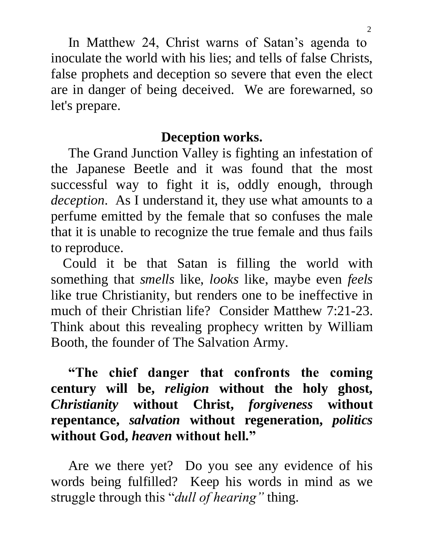In Matthew 24, Christ warns of Satan's agenda to inoculate the world with his lies; and tells of false Christs, false prophets and deception so severe that even the elect are in danger of being deceived. We are forewarned, so let's prepare.

# **Deception works.**

 The Grand Junction Valley is fighting an infestation of the Japanese Beetle and it was found that the most successful way to fight it is, oddly enough, through *deception*. As I understand it, they use what amounts to a perfume emitted by the female that so confuses the male that it is unable to recognize the true female and thus fails to reproduce.

Could it be that Satan is filling the world with something that *smells* like, *looks* like, maybe even *feels* like true Christianity, but renders one to be ineffective in much of their Christian life? Consider Matthew 7:21-23. Think about this revealing prophecy written by William Booth, the founder of The Salvation Army.

 **"The chief danger that confronts the coming century will be,** *religion* **without the holy ghost,**  *Christianity* **without Christ,** *forgiveness* **without repentance,** *salvation* **without regeneration,** *politics* **without God,** *heaven* **without hell."** 

 Are we there yet? Do you see any evidence of his words being fulfilled? Keep his words in mind as we struggle through this "*dull of hearing"* thing.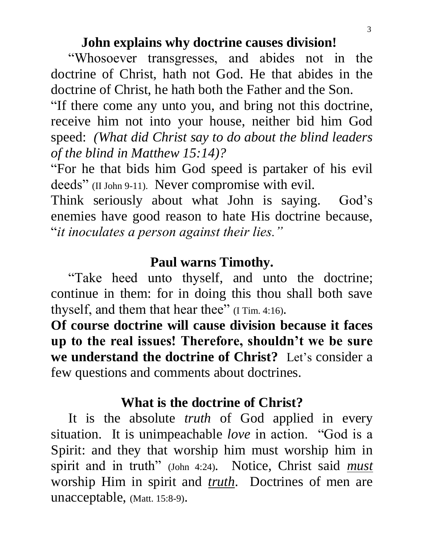#### **John explains why doctrine causes division!**

"Whosoever transgresses, and abides not in the doctrine of Christ, hath not God. He that abides in the doctrine of Christ, he hath both the Father and the Son.

"If there come any unto you, and bring not this doctrine, receive him not into your house, neither bid him God speed: *(What did Christ say to do about the blind leaders of the blind in Matthew 15:14)?*

"For he that bids him God speed is partaker of his evil deeds" (II John 9-11). Never compromise with evil.

Think seriously about what John is saying. God's enemies have good reason to hate His doctrine because, "*it inoculates a person against their lies."*

### **Paul warns Timothy.**

 "Take heed unto thyself, and unto the doctrine; continue in them: for in doing this thou shall both save thyself, and them that hear thee" (I Tim. 4:16).

**Of course doctrine will cause division because it faces up to the real issues! Therefore, shouldn't we be sure we understand the doctrine of Christ?** Let's consider a few questions and comments about doctrines.

### **What is the doctrine of Christ?**

 It is the absolute *truth* of God applied in every situation. It is unimpeachable *love* in action. "God is a Spirit: and they that worship him must worship him in spirit and in truth" (John 4:24). Notice, Christ said *must* worship Him in spirit and *truth*. Doctrines of men are unacceptable, (Matt. 15:8-9).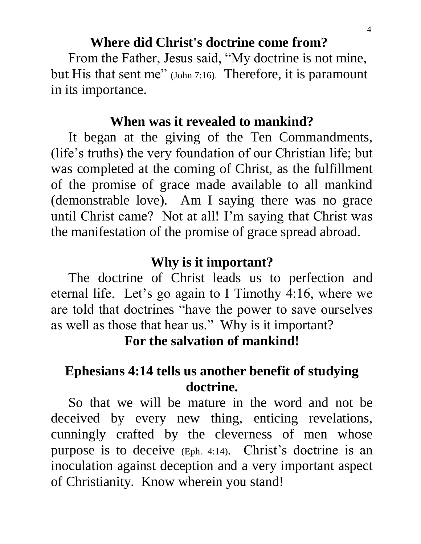# **Where did Christ's doctrine come from?**

 From the Father, Jesus said, "My doctrine is not mine, but His that sent me" (John 7:16). Therefore, it is paramount in its importance.

#### **When was it revealed to mankind?**

 It began at the giving of the Ten Commandments, (life's truths) the very foundation of our Christian life; but was completed at the coming of Christ, as the fulfillment of the promise of grace made available to all mankind (demonstrable love). Am I saying there was no grace until Christ came? Not at all! I'm saying that Christ was the manifestation of the promise of grace spread abroad.

#### **Why is it important?**

 The doctrine of Christ leads us to perfection and eternal life. Let's go again to I Timothy 4:16, where we are told that doctrines "have the power to save ourselves as well as those that hear us." Why is it important?

**For the salvation of mankind!**

# **Ephesians 4:14 tells us another benefit of studying doctrine.**

 So that we will be mature in the word and not be deceived by every new thing, enticing revelations, cunningly crafted by the cleverness of men whose purpose is to deceive (Eph. 4:14). Christ's doctrine is an inoculation against deception and a very important aspect of Christianity. Know wherein you stand!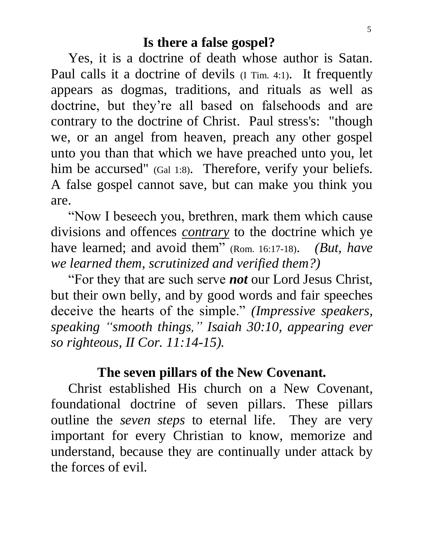#### **Is there a false gospel?**

 Yes, it is a doctrine of death whose author is Satan. Paul calls it a doctrine of devils (I Tim. 4:1). It frequently appears as dogmas, traditions, and rituals as well as doctrine, but they're all based on falsehoods and are contrary to the doctrine of Christ. Paul stress's: "though we, or an angel from heaven, preach any other gospel unto you than that which we have preached unto you, let him be accursed" (Gal 1:8). Therefore, verify your beliefs. A false gospel cannot save, but can make you think you are.

 "Now I beseech you, brethren, mark them which cause divisions and offences *contrary* to the doctrine which ye have learned; and avoid them" (Rom. 16:17-18). *(But, have we learned them, scrutinized and verified them?)*

 "For they that are such serve *not* our Lord Jesus Christ, but their own belly, and by good words and fair speeches deceive the hearts of the simple." *(Impressive speakers, speaking "smooth things," Isaiah 30:10, appearing ever so righteous, II Cor. 11:14-15).* 

### **The seven pillars of the New Covenant.**

 Christ established His church on a New Covenant, foundational doctrine of seven pillars. These pillars outline the *seven steps* to eternal life. They are very important for every Christian to know, memorize and understand, because they are continually under attack by the forces of evil.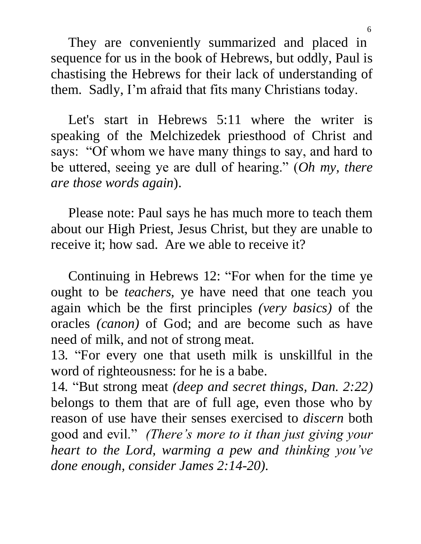They are conveniently summarized and placed in sequence for us in the book of Hebrews, but oddly, Paul is chastising the Hebrews for their lack of understanding of them. Sadly, I'm afraid that fits many Christians today.

 Let's start in Hebrews 5:11 where the writer is speaking of the Melchizedek priesthood of Christ and says: "Of whom we have many things to say, and hard to be uttered, seeing ye are dull of hearing." (*Oh my, there are those words again*).

 Please note: Paul says he has much more to teach them about our High Priest, Jesus Christ, but they are unable to receive it; how sad. Are we able to receive it?

 Continuing in Hebrews 12: "For when for the time ye ought to be *teachers,* ye have need that one teach you again which be the first principles *(very basics)* of the oracles *(canon)* of God; and are become such as have need of milk, and not of strong meat.

13. "For every one that useth milk is unskillful in the word of righteousness: for he is a babe.

14. "But strong meat *(deep and secret things, Dan. 2:22)* belongs to them that are of full age, even those who by reason of use have their senses exercised to *discern* both good and evil." *(There's more to it than just giving your heart to the Lord, warming a pew and thinking you've done enough, consider James 2:14-20).*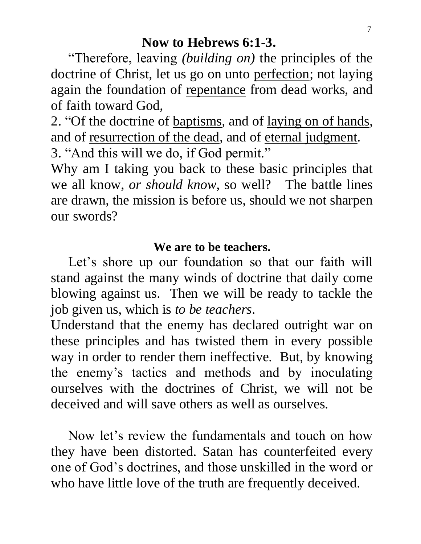#### **Now to Hebrews 6:1-3.**

 "Therefore, leaving *(building on)* the principles of the doctrine of Christ, let us go on unto perfection; not laying again the foundation of repentance from dead works, and of faith toward God,

2. "Of the doctrine of baptisms*,* and of laying on of hands, and of resurrection of the dead, and of eternal judgment. 3. "And this will we do, if God permit."

Why am I taking you back to these basic principles that we all know, *or should know,* so well? The battle lines are drawn, the mission is before us, should we not sharpen our swords?

#### **We are to be teachers.**

Let's shore up our foundation so that our faith will stand against the many winds of doctrine that daily come blowing against us. Then we will be ready to tackle the job given us, which is *to be teachers*.

Understand that the enemy has declared outright war on these principles and has twisted them in every possible way in order to render them ineffective. But, by knowing the enemy's tactics and methods and by inoculating ourselves with the doctrines of Christ, we will not be deceived and will save others as well as ourselves.

 Now let's review the fundamentals and touch on how they have been distorted. Satan has counterfeited every one of God's doctrines, and those unskilled in the word or who have little love of the truth are frequently deceived.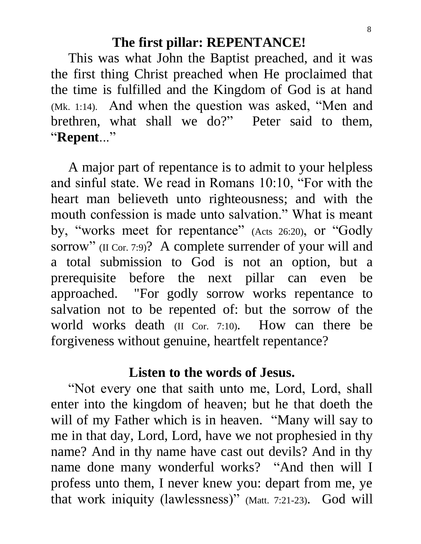#### **The first pillar: REPENTANCE!**

 This was what John the Baptist preached, and it was the first thing Christ preached when He proclaimed that the time is fulfilled and the Kingdom of God is at hand (Mk. 1:14). And when the question was asked, "Men and brethren, what shall we do?" Peter said to them, "**Repent**..."

 A major part of repentance is to admit to your helpless and sinful state. We read in Romans 10:10, "For with the heart man believeth unto righteousness; and with the mouth confession is made unto salvation." What is meant by, "works meet for repentance" (Acts 26:20), or "Godly sorrow" (II Cor. 7:9)? A complete surrender of your will and a total submission to God is not an option, but a prerequisite before the next pillar can even be approached. "For godly sorrow works repentance to salvation not to be repented of: but the sorrow of the world works death (II Cor. 7:10). How can there be forgiveness without genuine, heartfelt repentance?

#### **Listen to the words of Jesus.**

 "Not every one that saith unto me, Lord, Lord, shall enter into the kingdom of heaven; but he that doeth the will of my Father which is in heaven. "Many will say to me in that day, Lord, Lord, have we not prophesied in thy name? And in thy name have cast out devils? And in thy name done many wonderful works? "And then will I profess unto them, I never knew you: depart from me, ye that work iniquity (lawlessness)" (Matt. 7:21-23). God will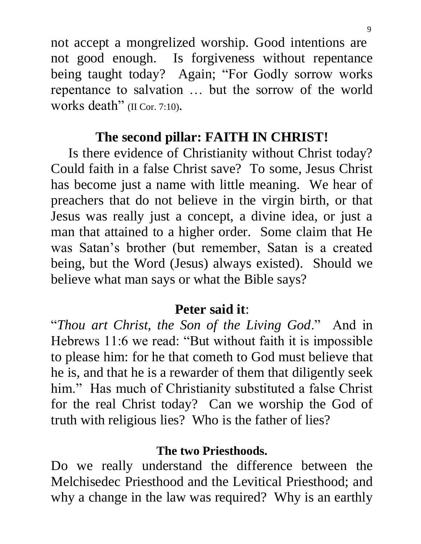not accept a mongrelized worship. Good intentions are not good enough. Is forgiveness without repentance being taught today? Again; "For Godly sorrow works repentance to salvation … but the sorrow of the world works death" (II Cor. 7:10).

# **The second pillar: FAITH IN CHRIST!**

 Is there evidence of Christianity without Christ today? Could faith in a false Christ save? To some, Jesus Christ has become just a name with little meaning. We hear of preachers that do not believe in the virgin birth, or that Jesus was really just a concept, a divine idea, or just a man that attained to a higher order. Some claim that He was Satan's brother (but remember, Satan is a created being, but the Word (Jesus) always existed). Should we believe what man says or what the Bible says?

## **Peter said it**:

"*Thou art Christ, the Son of the Living God*." And in Hebrews 11:6 we read: "But without faith it is impossible to please him: for he that cometh to God must believe that he is, and that he is a rewarder of them that diligently seek him." Has much of Christianity substituted a false Christ for the real Christ today? Can we worship the God of truth with religious lies? Who is the father of lies?

#### **The two Priesthoods.**

Do we really understand the difference between the Melchisedec Priesthood and the Levitical Priesthood; and why a change in the law was required? Why is an earthly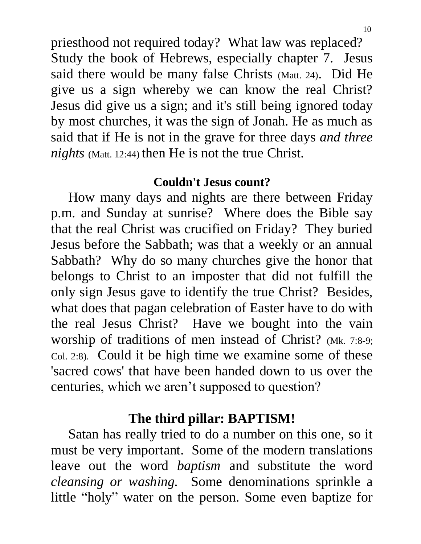priesthood not required today? What law was replaced? Study the book of Hebrews, especially chapter 7. Jesus said there would be many false Christs (Matt. 24). Did He give us a sign whereby we can know the real Christ? Jesus did give us a sign; and it's still being ignored today by most churches, it was the sign of Jonah. He as much as said that if He is not in the grave for three days *and three nights* (Matt. 12:44) then He is not the true Christ.

#### **Couldn't Jesus count?**

 How many days and nights are there between Friday p.m. and Sunday at sunrise? Where does the Bible say that the real Christ was crucified on Friday? They buried Jesus before the Sabbath; was that a weekly or an annual Sabbath? Why do so many churches give the honor that belongs to Christ to an imposter that did not fulfill the only sign Jesus gave to identify the true Christ? Besides, what does that pagan celebration of Easter have to do with the real Jesus Christ? Have we bought into the vain worship of traditions of men instead of Christ? (Mk. 7:8-9; Col. 2:8). Could it be high time we examine some of these 'sacred cows' that have been handed down to us over the centuries, which we aren't supposed to question?

# **The third pillar: BAPTISM!**

 Satan has really tried to do a number on this one, so it must be very important. Some of the modern translations leave out the word *baptism* and substitute the word *cleansing or washing.* Some denominations sprinkle a little "holy" water on the person. Some even baptize for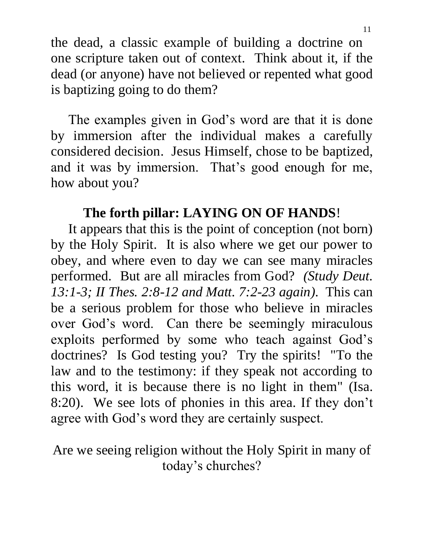the dead, a classic example of building a doctrine on one scripture taken out of context. Think about it, if the dead (or anyone) have not believed or repented what good is baptizing going to do them?

 The examples given in God's word are that it is done by immersion after the individual makes a carefully considered decision. Jesus Himself, chose to be baptized, and it was by immersion. That's good enough for me, how about you?

# **The forth pillar: LAYING ON OF HANDS**!

 It appears that this is the point of conception (not born) by the Holy Spirit. It is also where we get our power to obey, and where even to day we can see many miracles performed. But are all miracles from God? *(Study Deut. 13:1-3; II Thes. 2:8-12 and Matt. 7:2-23 again)*. This can be a serious problem for those who believe in miracles over God's word. Can there be seemingly miraculous exploits performed by some who teach against God's doctrines? Is God testing you? Try the spirits! "To the law and to the testimony: if they speak not according to this word, it is because there is no light in them" (Isa. 8:20). We see lots of phonies in this area. If they don't agree with God's word they are certainly suspect.

Are we seeing religion without the Holy Spirit in many of today's churches?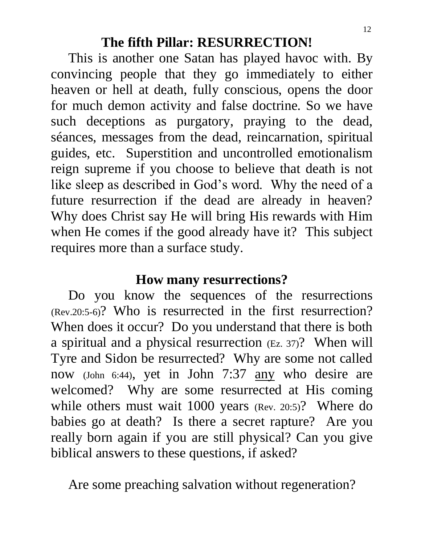### **The fifth Pillar: RESURRECTION!**

 This is another one Satan has played havoc with. By convincing people that they go immediately to either heaven or hell at death, fully conscious, opens the door for much demon activity and false doctrine. So we have such deceptions as purgatory, praying to the dead, séances, messages from the dead, reincarnation, spiritual guides, etc. Superstition and uncontrolled emotionalism reign supreme if you choose to believe that death is not like sleep as described in God's word. Why the need of a future resurrection if the dead are already in heaven? Why does Christ say He will bring His rewards with Him when He comes if the good already have it? This subject requires more than a surface study.

# **How many resurrections?**

 Do you know the sequences of the resurrections (Rev.20:5-6)? Who is resurrected in the first resurrection? When does it occur? Do you understand that there is both a spiritual and a physical resurrection (Ez. 37)? When will Tyre and Sidon be resurrected? Why are some not called now (John 6:44), yet in John 7:37 any who desire are welcomed? Why are some resurrected at His coming while others must wait 1000 years (Rev. 20:5)? Where do babies go at death? Is there a secret rapture? Are you really born again if you are still physical? Can you give biblical answers to these questions, if asked?

Are some preaching salvation without regeneration?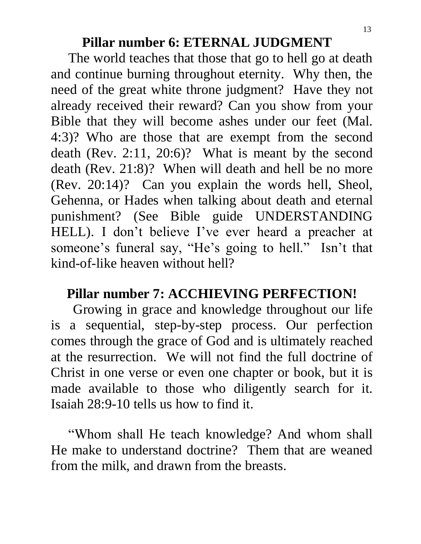#### **Pillar number 6: ETERNAL JUDGMENT**

 The world teaches that those that go to hell go at death and continue burning throughout eternity. Why then, the need of the great white throne judgment? Have they not already received their reward? Can you show from your Bible that they will become ashes under our feet (Mal. 4:3)? Who are those that are exempt from the second death (Rev. 2:11, 20:6)? What is meant by the second death (Rev. 21:8)? When will death and hell be no more (Rev. 20:14)? Can you explain the words hell, Sheol, Gehenna, or Hades when talking about death and eternal punishment? (See Bible guide UNDERSTANDING HELL). I don't believe I've ever heard a preacher at someone's funeral say, "He's going to hell." Isn't that kind-of-like heaven without hell?

### **Pillar number 7: ACCHIEVING PERFECTION!**

 Growing in grace and knowledge throughout our life is a sequential, step-by-step process. Our perfection comes through the grace of God and is ultimately reached at the resurrection. We will not find the full doctrine of Christ in one verse or even one chapter or book, but it is made available to those who diligently search for it. Isaiah 28:9-10 tells us how to find it.

 "Whom shall He teach knowledge? And whom shall He make to understand doctrine? Them that are weaned from the milk, and drawn from the breasts.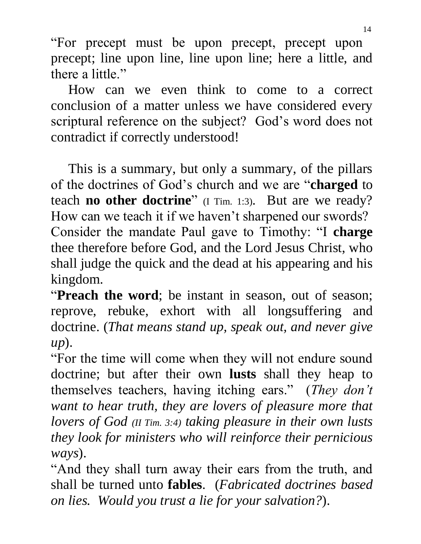"For precept must be upon precept, precept upon precept; line upon line, line upon line; here a little, and there a little."

 How can we even think to come to a correct conclusion of a matter unless we have considered every scriptural reference on the subject? God's word does not contradict if correctly understood!

 This is a summary, but only a summary, of the pillars of the doctrines of God's church and we are "**charged** to teach **no other doctrine**" (I Tim. 1:3). But are we ready? How can we teach it if we haven't sharpened our swords? Consider the mandate Paul gave to Timothy: "I **charge** thee therefore before God, and the Lord Jesus Christ, who shall judge the quick and the dead at his appearing and his kingdom.

"**Preach the word**; be instant in season, out of season; reprove, rebuke, exhort with all longsuffering and doctrine. (*That means stand up, speak out, and never give up*).

"For the time will come when they will not endure sound doctrine; but after their own **lusts** shall they heap to themselves teachers, having itching ears." (*They don't want to hear truth, they are lovers of pleasure more that lovers of God (II Tim. 3:4) taking pleasure in their own lusts they look for ministers who will reinforce their pernicious ways*).

"And they shall turn away their ears from the truth, and shall be turned unto **fables**. (*Fabricated doctrines based on lies. Would you trust a lie for your salvation?*).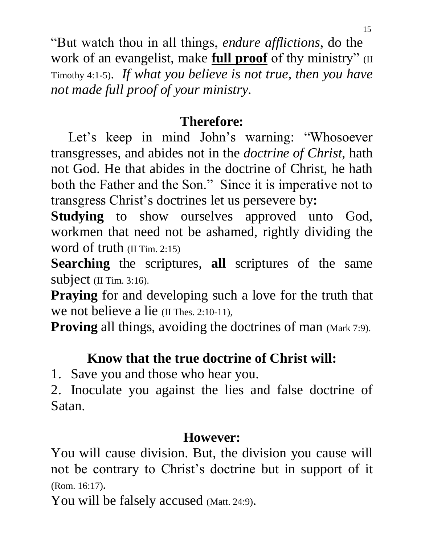"But watch thou in all things, *endure afflictions*, do the work of an evangelist, make **full proof** of thy ministry" (II Timothy 4:1-5). *If what you believe is not true, then you have not made full proof of your ministry.*

# **Therefore:**

 Let's keep in mind John's warning: "Whosoever transgresses, and abides not in the *doctrine of Christ*, hath not God. He that abides in the doctrine of Christ, he hath both the Father and the Son." Since it is imperative not to transgress Christ's doctrines let us persevere by**:**

**Studying** to show ourselves approved unto God, workmen that need not be ashamed, rightly dividing the word of truth (II Tim. 2:15)

**Searching** the scriptures, **all** scriptures of the same subject (II Tim. 3:16).

**Praying** for and developing such a love for the truth that we not believe a lie (II Thes. 2:10-11),

**Proving** all things, avoiding the doctrines of man (Mark 7:9).

# **Know that the true doctrine of Christ will:**

1. Save you and those who hear you.

2. Inoculate you against the lies and false doctrine of Satan.

### **However:**

You will cause division. But, the division you cause will not be contrary to Christ's doctrine but in support of it (Rom. 16:17).

You will be falsely accused (Matt. 24:9).